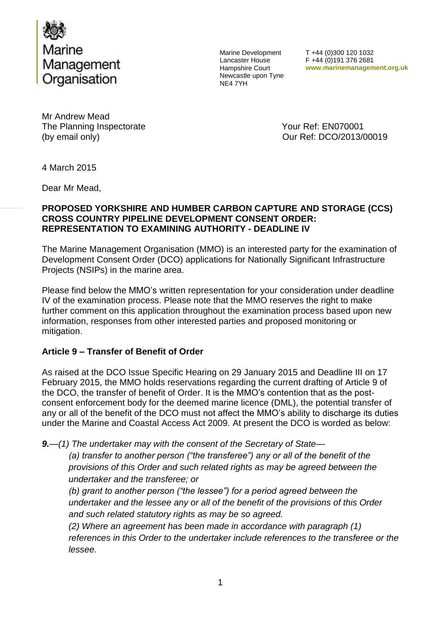

Marine Development Lancaster House Hampshire Court Newcastle upon Tyne NE4 7YH

T +44 (0)300 120 1032 F +44 (0)191 376 2681 **www.marinemanagement.org.uk**

Mr Andrew Mead The Planning Inspectorate The Planning Inspectorate Vour Ref: EN070001 (by email only)  $Qur$  Ref: DCO/2013/00019

4 March 2015

Dear Mr Mead,

## **PROPOSED YORKSHIRE AND HUMBER CARBON CAPTURE AND STORAGE (CCS) CROSS COUNTRY PIPELINE DEVELOPMENT CONSENT ORDER: REPRESENTATION TO EXAMINING AUTHORITY - DEADLINE IV**

The Marine Management Organisation (MMO) is an interested party for the examination of Development Consent Order (DCO) applications for Nationally Significant Infrastructure Projects (NSIPs) in the marine area.

Please find below the MMO's written representation for your consideration under deadline IV of the examination process. Please note that the MMO reserves the right to make further comment on this application throughout the examination process based upon new information, responses from other interested parties and proposed monitoring or mitigation.

## **Article 9 – Transfer of Benefit of Order**

As raised at the DCO Issue Specific Hearing on 29 January 2015 and Deadline III on 17 February 2015, the MMO holds reservations regarding the current drafting of Article 9 of the DCO, the transfer of benefit of Order. It is the MMO's contention that as the postconsent enforcement body for the deemed marine licence (DML), the potential transfer of any or all of the benefit of the DCO must not affect the MMO's ability to discharge its duties under the Marine and Coastal Access Act 2009. At present the DCO is worded as below:

*9.—(1) The undertaker may with the consent of the Secretary of State—*

*(a) transfer to another person ("the transferee") any or all of the benefit of the provisions of this Order and such related rights as may be agreed between the undertaker and the transferee; or*

*(b) grant to another person ("the lessee") for a period agreed between the undertaker and the lessee any or all of the benefit of the provisions of this Order and such related statutory rights as may be so agreed.*

*(2) Where an agreement has been made in accordance with paragraph (1)*  references in this Order to the undertaker include references to the transferee or the *lessee.*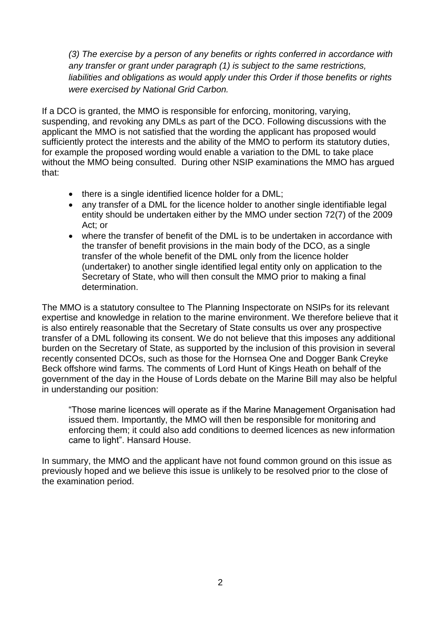*(3) The exercise by a person of any benefits or rights conferred in accordance with any transfer or grant under paragraph (1) is subject to the same restrictions,*  liabilities and obligations as would apply under this Order if those benefits or rights *were exercised by National Grid Carbon.*

If a DCO is granted, the MMO is responsible for enforcing, monitoring, varying, suspending, and revoking any DMLs as part of the DCO. Following discussions with the applicant the MMO is not satisfied that the wording the applicant has proposed would sufficiently protect the interests and the ability of the MMO to perform its statutory duties, for example the proposed wording would enable a variation to the DML to take place without the MMO being consulted. During other NSIP examinations the MMO has argued that:

- there is a single identified licence holder for a DML;
- any transfer of a DML for the licence holder to another single identifiable legal entity should be undertaken either by the MMO under section 72(7) of the 2009 Act; or
- where the transfer of benefit of the DML is to be undertaken in accordance with the transfer of benefit provisions in the main body of the DCO, as a single transfer of the whole benefit of the DML only from the licence holder (undertaker) to another single identified legal entity only on application to the Secretary of State, who will then consult the MMO prior to making a final determination.

The MMO is a statutory consultee to The Planning Inspectorate on NSIPs for its relevant expertise and knowledge in relation to the marine environment. We therefore believe that it is also entirely reasonable that the Secretary of State consults us over any prospective transfer of a DML following its consent. We do not believe that this imposes any additional burden on the Secretary of State, as supported by the inclusion of this provision in several recently consented DCOs, such as those for the Hornsea One and Dogger Bank Creyke Beck offshore wind farms. The comments of Lord Hunt of Kings Heath on behalf of the government of the day in the House of Lords debate on the Marine Bill may also be helpful in understanding our position:

"Those marine licences will operate as if the Marine Management Organisation had issued them. Importantly, the MMO will then be responsible for monitoring and enforcing them; it could also add conditions to deemed licences as new information came to light". Hansard House.

In summary, the MMO and the applicant have not found common ground on this issue as previously hoped and we believe this issue is unlikely to be resolved prior to the close of the examination period.